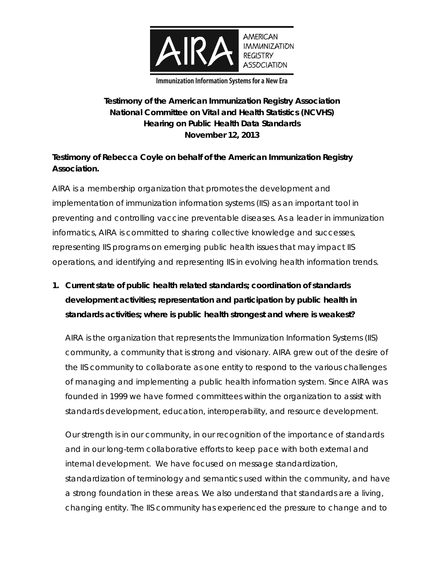

**Immunization Information Systems for a New Era** 

#### **Testimony of the American Immunization Registry Association National Committee on Vital and Health Statistics (NCVHS) Hearing on Public Health Data Standards November 12, 2013**

#### **Testimony of Rebecca Coyle on behalf of the American Immunization Registry Association.**

AIRA is a membership organization that promotes the development and implementation of immunization information systems (IIS) as an important tool in preventing and controlling vaccine preventable diseases. As a leader in immunization informatics, AIRA is committed to sharing collective knowledge and successes, representing IIS programs on emerging public health issues that may impact IIS operations, and identifying and representing IIS in evolving health information trends.

**1. Current state of public health related standards; coordination of standards development activities; representation and participation by public health in standards activities; where is public health strongest and where is weakest?** 

AIRA is the organization that represents the Immunization Information Systems (IIS) community, a community that is strong and visionary. AIRA grew out of the desire of the IIS community to collaborate as one entity to respond to the various challenges of managing and implementing a public health information system. Since AIRA was founded in 1999 we have formed committees within the organization to assist with standards development, education, interoperability, and resource development.

Our strength is in our community, in our recognition of the importance of standards and in our long-term collaborative efforts to keep pace with both external and internal development. We have focused on message standardization, standardization of terminology and semantics used within the community, and have a strong foundation in these areas. We also understand that standards are a living, changing entity. The IIS community has experienced the pressure to change and to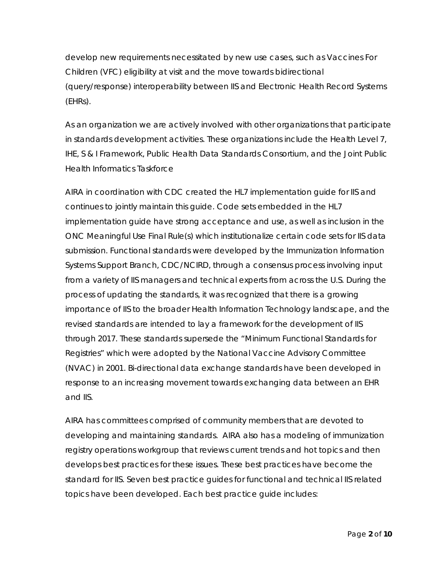develop new requirements necessitated by new use cases, such as Vaccines For Children (VFC) eligibility at visit and the move towards bidirectional (query/response) interoperability between IIS and Electronic Health Record Systems (EHRs).

As an organization we are actively involved with other organizations that participate in standards development activities. These organizations include the Health Level 7, IHE, S & I Framework, Public Health Data Standards Consortium, and the Joint Public Health Informatics Taskforce

AIRA in coordination with CDC created the HL7 implementation guide for IIS and continues to jointly maintain this guide. Code sets embedded in the HL7 implementation guide have strong acceptance and use, as well as inclusion in the ONC Meaningful Use Final Rule(s) which institutionalize certain code sets for IIS data submission. Functional standards were developed by the Immunization Information Systems Support Branch, CDC/NCIRD, through a consensus process involving input from a variety of IIS managers and technical experts from across the U.S. During the process of updating the standards, it was recognized that there is a growing importance of IIS to the broader Health Information Technology landscape, and the revised standards are intended to lay a framework for the development of IIS through 2017. These standards supersede the "Minimum Functional Standards for Registries" which were adopted by the National Vaccine Advisory Committee (NVAC) in 2001. Bi-directional data exchange standards have been developed in response to an increasing movement towards exchanging data between an EHR and IIS.

AIRA has committees comprised of community members that are devoted to developing and maintaining standards. AIRA also has a modeling of immunization registry operations workgroup that reviews current trends and hot topics and then develops best practices for these issues. These best practices have become the standard for IIS. Seven best practice guides for functional and technical IIS related topics have been developed. Each best practice guide includes: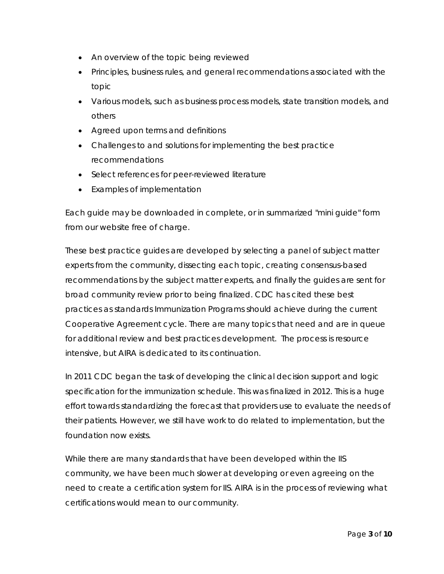- An overview of the topic being reviewed
- Principles, business rules, and general recommendations associated with the topic
- Various models, such as business process models, state transition models, and others
- Agreed upon terms and definitions
- Challenges to and solutions for implementing the best practice recommendations
- Select references for peer-reviewed literature
- Examples of implementation

Each guide may be downloaded in complete, or in summarized "mini guide" form from our website free of charge.

These best practice guides are developed by selecting a panel of subject matter experts from the community, dissecting each topic, creating consensus-based recommendations by the subject matter experts, and finally the guides are sent for broad community review prior to being finalized. CDC has cited these best practices as standards Immunization Programs should achieve during the current Cooperative Agreement cycle. There are many topics that need and are in queue for additional review and best practices development. The process is resource intensive, but AIRA is dedicated to its continuation.

In 2011 CDC began the task of developing the clinical decision support and logic specification for the immunization schedule. This was finalized in 2012. This is a huge effort towards standardizing the forecast that providers use to evaluate the needs of their patients. However, we still have work to do related to implementation, but the foundation now exists.

While there are many standards that have been developed within the IIS community, we have been much slower at developing or even agreeing on the need to create a certification system for IIS. AIRA is in the process of reviewing what certifications would mean to our community.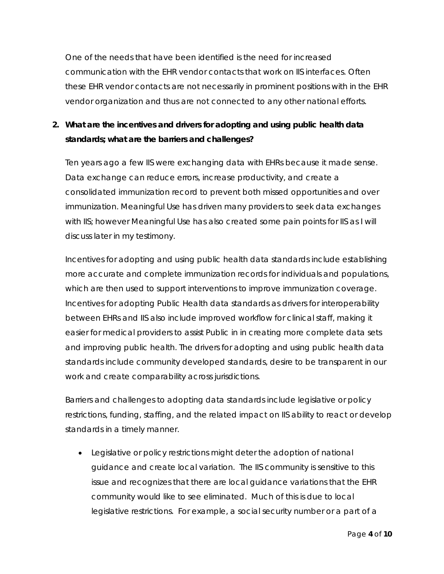One of the needs that have been identified is the need for increased communication with the EHR vendor contacts that work on IIS interfaces. Often these EHR vendor contacts are not necessarily in prominent positions with in the EHR vendor organization and thus are not connected to any other national efforts.

### **2. What are the incentives and drivers for adopting and using public health data standards; what are the barriers and challenges?**

Ten years ago a few IIS were exchanging data with EHRs because it made sense. Data exchange can reduce errors, increase productivity, and create a consolidated immunization record to prevent both missed opportunities and over immunization. Meaningful Use has driven many providers to seek data exchanges with IIS; however Meaningful Use has also created some pain points for IIS as I will discuss later in my testimony.

Incentives for adopting and using public health data standards include establishing more accurate and complete immunization records for individuals and populations, which are then used to support interventions to improve immunization coverage. Incentives for adopting Public Health data standards as drivers for interoperability between EHRs and IIS also include improved workflow for clinical staff, making it easier for medical providers to assist Public in in creating more complete data sets and improving public health. The drivers for adopting and using public health data standards include community developed standards, desire to be transparent in our work and create comparability across jurisdictions.

Barriers and challenges to adopting data standards include legislative or policy restrictions, funding, staffing, and the related impact on IIS ability to react or develop standards in a timely manner.

 Legislative or policy restrictions might deter the adoption of national guidance and create local variation. The IIS community is sensitive to this issue and recognizes that there are local guidance variations that the EHR community would like to see eliminated. Much of this is due to local legislative restrictions. For example, a social security number or a part of a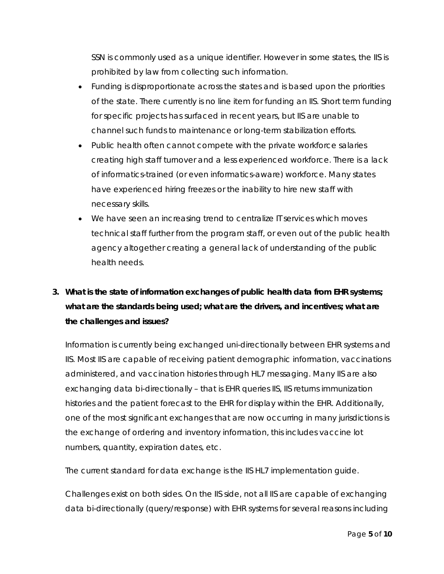SSN is commonly used as a unique identifier. However in some states, the IIS is prohibited by law from collecting such information.

- Funding is disproportionate across the states and is based upon the priorities of the state. There currently is no line item for funding an IIS. Short term funding for specific projects has surfaced in recent years, but IIS are unable to channel such funds to maintenance or long-term stabilization efforts.
- Public health often cannot compete with the private workforce salaries creating high staff turnover and a less experienced workforce. There is a lack of informatics-trained (or even informatics-aware) workforce. Many states have experienced hiring freezes or the inability to hire new staff with necessary skills.
- We have seen an increasing trend to centralize IT services which moves technical staff further from the program staff, or even out of the public health agency altogether creating a general lack of understanding of the public health needs.

# **3. What is the state of information exchanges of public health data from EHR systems; what are the standards being used; what are the drivers, and incentives; what are the challenges and issues?**

Information is currently being exchanged uni-directionally between EHR systems and IIS. Most IIS are capable of receiving patient demographic information, vaccinations administered, and vaccination histories through HL7 messaging. Many IIS are also exchanging data bi-directionally – that is EHR queries IIS, IIS returns immunization histories and the patient forecast to the EHR for display within the EHR. Additionally, one of the most significant exchanges that are now occurring in many jurisdictions is the exchange of ordering and inventory information, this includes vaccine lot numbers, quantity, expiration dates, etc.

The current standard for data exchange is the IIS HL7 implementation guide.

Challenges exist on both sides. On the IIS side, not all IIS are capable of exchanging data bi-directionally (query/response) with EHR systems for several reasons including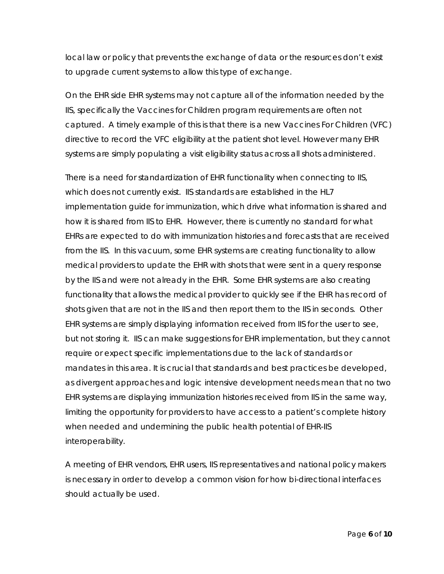local law or policy that prevents the exchange of data or the resources don't exist to upgrade current systems to allow this type of exchange.

On the EHR side EHR systems may not capture all of the information needed by the IIS, specifically the Vaccines for Children program requirements are often not captured. A timely example of this is that there is a new Vaccines For Children (VFC) directive to record the VFC eligibility at the patient shot level. However many EHR systems are simply populating a visit eligibility status across all shots administered.

There is a need for standardization of EHR functionality when connecting to IIS, which does not currently exist. IIS standards are established in the HL7 implementation guide for immunization, which drive what information is shared and how it is shared from IIS to EHR. However, there is currently no standard for what EHRs are expected to do with immunization histories and forecasts that are received from the IIS. In this vacuum, some EHR systems are creating functionality to allow medical providers to update the EHR with shots that were sent in a query response by the IIS and were not already in the EHR. Some EHR systems are also creating functionality that allows the medical provider to quickly see if the EHR has record of shots given that are not in the IIS and then report them to the IIS in seconds. Other EHR systems are simply displaying information received from IIS for the user to see, but not storing it. IIS can make suggestions for EHR implementation, but they cannot require or expect specific implementations due to the lack of standards or mandates in this area. It is crucial that standards and best practices be developed, as divergent approaches and logic intensive development needs mean that no two EHR systems are displaying immunization histories received from IIS in the same way, limiting the opportunity for providers to have access to a patient's complete history when needed and undermining the public health potential of EHR-IIS interoperability.

A meeting of EHR vendors, EHR users, IIS representatives and national policy makers is necessary in order to develop a common vision for how bi-directional interfaces should actually be used.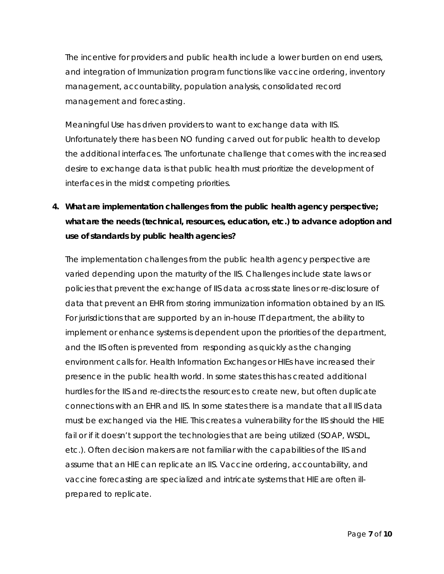The incentive for providers and public health include a lower burden on end users, and integration of Immunization program functions like vaccine ordering, inventory management, accountability, population analysis, consolidated record management and forecasting.

Meaningful Use has driven providers to want to exchange data with IIS. Unfortunately there has been NO funding carved out for public health to develop the additional interfaces. The unfortunate challenge that comes with the increased desire to exchange data is that public health must prioritize the development of interfaces in the midst competing priorities.

**4. What are implementation challenges from the public health agency perspective; what are the needs (technical, resources, education, etc.) to advance adoption and use of standards by public health agencies?** 

The implementation challenges from the public health agency perspective are varied depending upon the maturity of the IIS. Challenges include state laws or policies that prevent the exchange of IIS data across state lines or re-disclosure of data that prevent an EHR from storing immunization information obtained by an IIS. For jurisdictions that are supported by an in-house IT department, the ability to implement or enhance systems is dependent upon the priorities of the department, and the IIS often is prevented from responding as quickly as the changing environment calls for. Health Information Exchanges or HIEs have increased their presence in the public health world. In some states this has created additional hurdles for the IIS and re-directs the resources to create new, but often duplicate connections with an EHR and IIS. In some states there is a mandate that all IIS data must be exchanged via the HIE. This creates a vulnerability for the IIS should the HIE fail or if it doesn't support the technologies that are being utilized (SOAP, WSDL, etc.). Often decision makers are not familiar with the capabilities of the IIS and assume that an HIE can replicate an IIS. Vaccine ordering, accountability, and vaccine forecasting are specialized and intricate systems that HIE are often illprepared to replicate.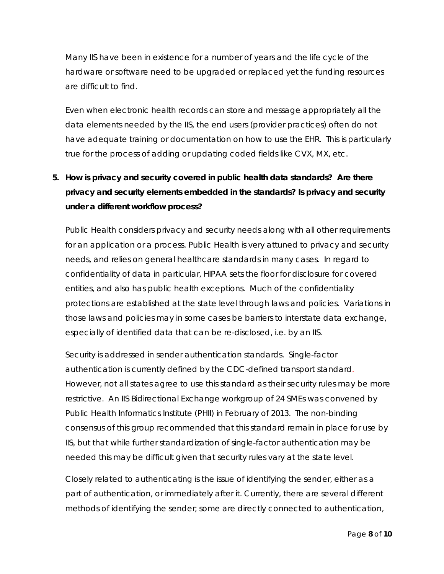Many IIS have been in existence for a number of years and the life cycle of the hardware or software need to be upgraded or replaced yet the funding resources are difficult to find.

Even when electronic health records can store and message appropriately all the data elements needed by the IIS, the end users (provider practices) often do not have adequate training or documentation on how to use the EHR. This is particularly true for the process of adding or updating coded fields like CVX, MX, etc.

# **5. How is privacy and security covered in public health data standards? Are there privacy and security elements embedded in the standards? Is privacy and security under a different workflow process?**

Public Health considers privacy and security needs along with all other requirements for an application or a process. Public Health is very attuned to privacy and security needs, and relies on general healthcare standards in many cases. In regard to confidentiality of data in particular, HIPAA sets the floor for disclosure for covered entities, and also has public health exceptions. Much of the confidentiality protections are established at the state level through laws and policies. Variations in those laws and policies may in some cases be barriers to interstate data exchange, especially of identified data that can be re-disclosed, i.e. by an IIS.

Security is addressed in sender authentication standards. Single-factor authentication is currently defined by the CDC-defined transport standard. However, not all states agree to use this standard as their security rules may be more restrictive. An IIS Bidirectional Exchange workgroup of 24 SMEs was convened by Public Health Informatics Institute (PHII) in February of 2013. The non-binding consensus of this group recommended that this standard remain in place for use by IIS, but that while further standardization of single-factor authentication may be needed this may be difficult given that security rules vary at the state level.

Closely related to authenticating is the issue of identifying the sender, either as a part of authentication, or immediately after it. Currently, there are several different methods of identifying the sender; some are directly connected to authentication,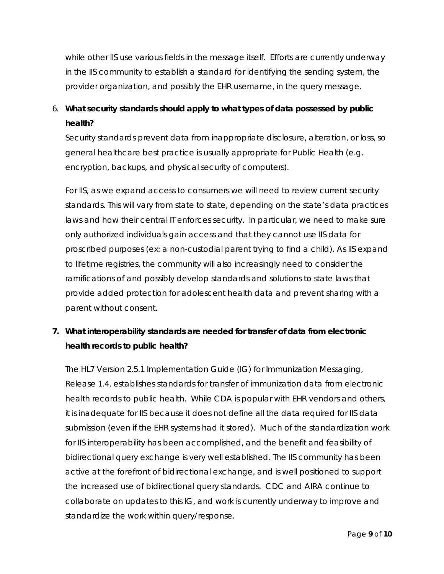while other IIS use various fields in the message itself. Efforts are currently underway in the IIS community to establish a standard for identifying the sending system, the provider organization, and possibly the EHR username, in the query message.

## 6. **What security standards should apply to what types of data possessed by public health?**

Security standards prevent data from inappropriate disclosure, alteration, or loss, so general healthcare best practice is usually appropriate for Public Health (e.g. encryption, backups, and physical security of computers).

For IIS, as we expand access to consumers we will need to review current security standards. This will vary from state to state, depending on the state's data practices laws and how their central IT enforces security. In particular, we need to make sure only authorized individuals gain access and that they cannot use IIS data for proscribed purposes (ex: a non-custodial parent trying to find a child). As IIS expand to lifetime registries, the community will also increasingly need to consider the ramifications of and possibly develop standards and solutions to state laws that provide added protection for adolescent health data and prevent sharing with a parent without consent.

### **7. What interoperability standards are needed for transfer of data from electronic health records to public health?**

The HL7 Version 2.5.1 Implementation Guide (IG) for Immunization Messaging, Release 1.4, establishes standards for transfer of immunization data from electronic health records to public health. While CDA is popular with EHR vendors and others, it is inadequate for IIS because it does not define all the data required for IIS data submission (even if the EHR systems had it stored). Much of the standardization work for IIS interoperability has been accomplished, and the benefit and feasibility of bidirectional query exchange is very well established. The IIS community has been active at the forefront of bidirectional exchange, and is well positioned to support the increased use of bidirectional query standards. CDC and AIRA continue to collaborate on updates to this IG, and work is currently underway to improve and standardize the work within query/response.